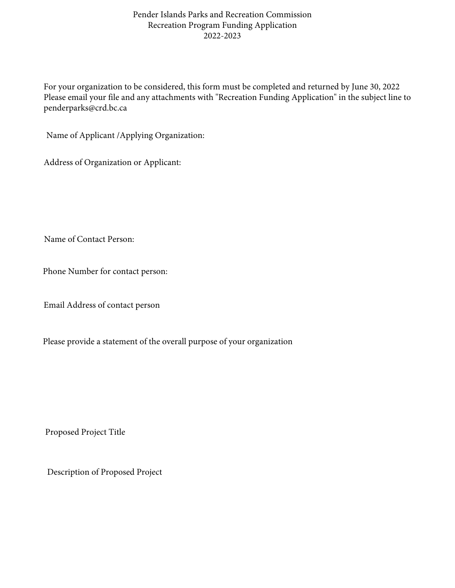## Pender Islands Parks and Recreation Commission Recreation Program Funding Application 2022-2023

For your organization to be considered, this form must be completed and returned by June 30, 2022 Please email your file and any attachments with "Recreation Funding Application" in the subject line to penderparks@crd.bc.ca

Name of Applicant /Applying Organization:

Address of Organization or Applicant:

Name of Contact Person:

Phone Number for contact person:

Email Address of contact person

Please provide a statement of the overall purpose of your organization

Proposed Project Title

Description of Proposed Project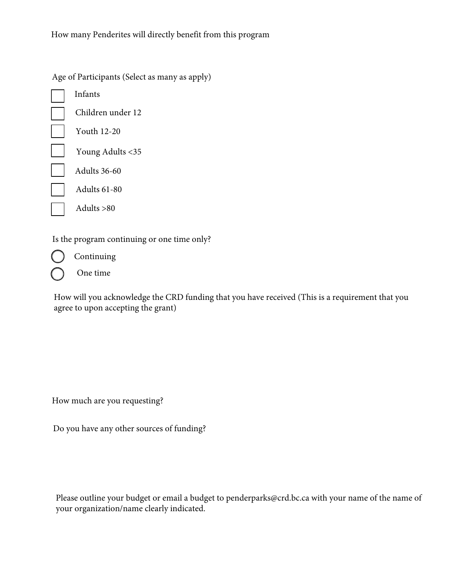Age of Participants (Select as many as apply) Infants Children under 12 Youth 12-20 Young Adults <35 Adults 36-60 Adults 61-80 Adults >80

Is the program continuing or one time only?

Continuing One time

How will you acknowledge the CRD funding that you have received (This is a requirement that you agree to upon accepting the grant)

How much are you requesting?

Do you have any other sources of funding?

Please outline your budget or email a budget to penderparks@crd.bc.ca with your name of the name of your organization/name clearly indicated.